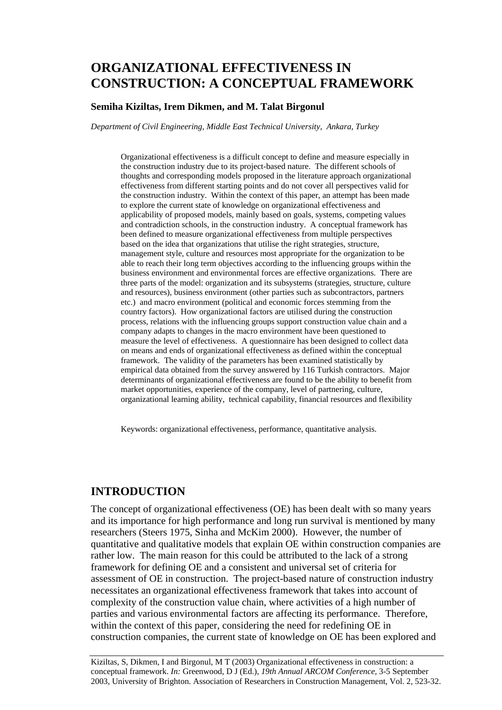# **ORGANIZATIONAL EFFECTIVENESS IN CONSTRUCTION: A CONCEPTUAL FRAMEWORK**

#### **Semiha Kiziltas, Irem Dikmen, and M. Talat Birgonul**

*Department of Civil Engineering, Middle East Technical University, Ankara, Turkey* 

Organizational effectiveness is a difficult concept to define and measure especially in the construction industry due to its project-based nature. The different schools of thoughts and corresponding models proposed in the literature approach organizational effectiveness from different starting points and do not cover all perspectives valid for the construction industry. Within the context of this paper, an attempt has been made to explore the current state of knowledge on organizational effectiveness and applicability of proposed models, mainly based on goals, systems, competing values and contradiction schools, in the construction industry. A conceptual framework has been defined to measure organizational effectiveness from multiple perspectives based on the idea that organizations that utilise the right strategies, structure, management style, culture and resources most appropriate for the organization to be able to reach their long term objectives according to the influencing groups within the business environment and environmental forces are effective organizations. There are three parts of the model: organization and its subsystems (strategies, structure, culture and resources), business environment (other parties such as subcontractors, partners etc.) and macro environment (political and economic forces stemming from the country factors). How organizational factors are utilised during the construction process, relations with the influencing groups support construction value chain and a company adapts to changes in the macro environment have been questioned to measure the level of effectiveness. A questionnaire has been designed to collect data on means and ends of organizational effectiveness as defined within the conceptual framework. The validity of the parameters has been examined statistically by empirical data obtained from the survey answered by 116 Turkish contractors. Major determinants of organizational effectiveness are found to be the ability to benefit from market opportunities, experience of the company, level of partnering, culture, organizational learning ability, technical capability, financial resources and flexibility

Keywords: organizational effectiveness, performance, quantitative analysis.

### **INTRODUCTION**

The concept of organizational effectiveness (OE) has been dealt with so many years and its importance for high performance and long run survival is mentioned by many researchers (Steers 1975, Sinha and McKim 2000). However, the number of quantitative and qualitative models that explain OE within construction companies are rather low. The main reason for this could be attributed to the lack of a strong framework for defining OE and a consistent and universal set of criteria for assessment of OE in construction. The project-based nature of construction industry necessitates an organizational effectiveness framework that takes into account of complexity of the construction value chain, where activities of a high number of parties and various environmental factors are affecting its performance. Therefore, within the context of this paper, considering the need for redefining OE in construction companies, the current state of knowledge on OE has been explored and

Kiziltas, S, Dikmen, I and Birgonul, M T (2003) Organizational effectiveness in construction: a conceptual framework. *In:* Greenwood, D J (Ed.), *19th Annual ARCOM Conference*, 3-5 September 2003, University of Brighton. Association of Researchers in Construction Management, Vol. 2, 523-32.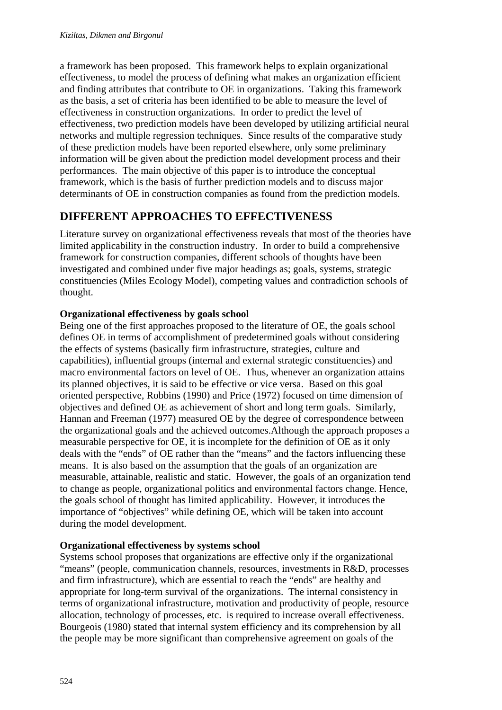a framework has been proposed. This framework helps to explain organizational effectiveness, to model the process of defining what makes an organization efficient and finding attributes that contribute to OE in organizations. Taking this framework as the basis, a set of criteria has been identified to be able to measure the level of effectiveness in construction organizations. In order to predict the level of effectiveness, two prediction models have been developed by utilizing artificial neural networks and multiple regression techniques. Since results of the comparative study of these prediction models have been reported elsewhere, only some preliminary information will be given about the prediction model development process and their performances. The main objective of this paper is to introduce the conceptual framework, which is the basis of further prediction models and to discuss major determinants of OE in construction companies as found from the prediction models.

# **DIFFERENT APPROACHES TO EFFECTIVENESS**

Literature survey on organizational effectiveness reveals that most of the theories have limited applicability in the construction industry. In order to build a comprehensive framework for construction companies, different schools of thoughts have been investigated and combined under five major headings as; goals, systems, strategic constituencies (Miles Ecology Model), competing values and contradiction schools of thought.

### **Organizational effectiveness by goals school**

Being one of the first approaches proposed to the literature of OE, the goals school defines OE in terms of accomplishment of predetermined goals without considering the effects of systems (basically firm infrastructure, strategies, culture and capabilities), influential groups (internal and external strategic constituencies) and macro environmental factors on level of OE. Thus, whenever an organization attains its planned objectives, it is said to be effective or vice versa. Based on this goal oriented perspective, Robbins (1990) and Price (1972) focused on time dimension of objectives and defined OE as achievement of short and long term goals. Similarly, Hannan and Freeman (1977) measured OE by the degree of correspondence between the organizational goals and the achieved outcomes.Although the approach proposes a measurable perspective for OE, it is incomplete for the definition of OE as it only deals with the "ends" of OE rather than the "means" and the factors influencing these means. It is also based on the assumption that the goals of an organization are measurable, attainable, realistic and static. However, the goals of an organization tend to change as people, organizational politics and environmental factors change. Hence, the goals school of thought has limited applicability. However, it introduces the importance of "objectives" while defining OE, which will be taken into account during the model development.

### **Organizational effectiveness by systems school**

Systems school proposes that organizations are effective only if the organizational "means" (people, communication channels, resources, investments in R&D, processes and firm infrastructure), which are essential to reach the "ends" are healthy and appropriate for long-term survival of the organizations. The internal consistency in terms of organizational infrastructure, motivation and productivity of people, resource allocation, technology of processes, etc. is required to increase overall effectiveness. Bourgeois (1980) stated that internal system efficiency and its comprehension by all the people may be more significant than comprehensive agreement on goals of the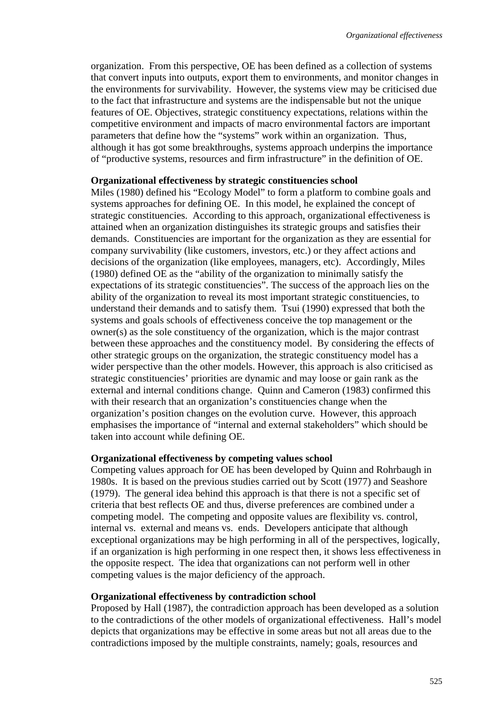organization. From this perspective, OE has been defined as a collection of systems that convert inputs into outputs, export them to environments, and monitor changes in the environments for survivability. However, the systems view may be criticised due to the fact that infrastructure and systems are the indispensable but not the unique features of OE. Objectives, strategic constituency expectations, relations within the competitive environment and impacts of macro environmental factors are important parameters that define how the "systems" work within an organization. Thus, although it has got some breakthroughs, systems approach underpins the importance of "productive systems, resources and firm infrastructure" in the definition of OE.

#### **Organizational effectiveness by strategic constituencies school**

Miles (1980) defined his "Ecology Model" to form a platform to combine goals and systems approaches for defining OE. In this model, he explained the concept of strategic constituencies. According to this approach, organizational effectiveness is attained when an organization distinguishes its strategic groups and satisfies their demands. Constituencies are important for the organization as they are essential for company survivability (like customers, investors, etc.) or they affect actions and decisions of the organization (like employees, managers, etc). Accordingly, Miles (1980) defined OE as the "ability of the organization to minimally satisfy the expectations of its strategic constituencies". The success of the approach lies on the ability of the organization to reveal its most important strategic constituencies, to understand their demands and to satisfy them. Tsui (1990) expressed that both the systems and goals schools of effectiveness conceive the top management or the owner(s) as the sole constituency of the organization, which is the major contrast between these approaches and the constituency model. By considering the effects of other strategic groups on the organization, the strategic constituency model has a wider perspective than the other models. However, this approach is also criticised as strategic constituencies' priorities are dynamic and may loose or gain rank as the external and internal conditions change. Quinn and Cameron (1983) confirmed this with their research that an organization's constituencies change when the organization's position changes on the evolution curve. However, this approach emphasises the importance of "internal and external stakeholders" which should be taken into account while defining OE.

#### **Organizational effectiveness by competing values school**

Competing values approach for OE has been developed by Quinn and Rohrbaugh in 1980s. It is based on the previous studies carried out by Scott (1977) and Seashore (1979). The general idea behind this approach is that there is not a specific set of criteria that best reflects OE and thus, diverse preferences are combined under a competing model. The competing and opposite values are flexibility vs. control, internal vs. external and means vs. ends. Developers anticipate that although exceptional organizations may be high performing in all of the perspectives, logically, if an organization is high performing in one respect then, it shows less effectiveness in the opposite respect. The idea that organizations can not perform well in other competing values is the major deficiency of the approach.

#### **Organizational effectiveness by contradiction school**

Proposed by Hall (1987), the contradiction approach has been developed as a solution to the contradictions of the other models of organizational effectiveness. Hall's model depicts that organizations may be effective in some areas but not all areas due to the contradictions imposed by the multiple constraints, namely; goals, resources and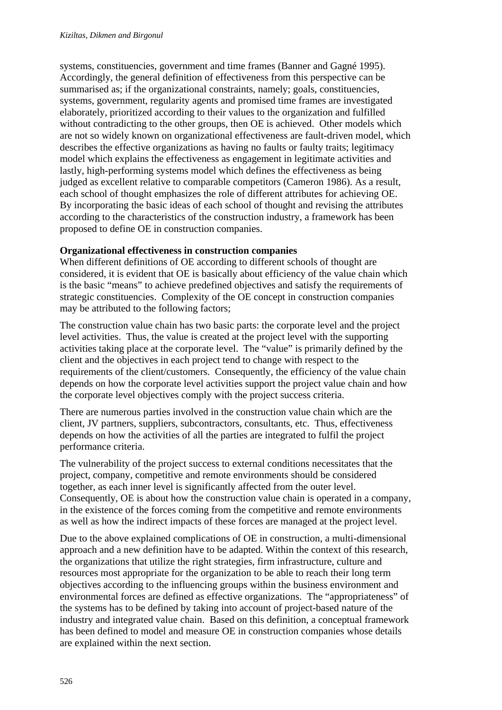systems, constituencies, government and time frames (Banner and Gagné 1995). Accordingly, the general definition of effectiveness from this perspective can be summarised as; if the organizational constraints, namely; goals, constituencies, systems, government, regularity agents and promised time frames are investigated elaborately, prioritized according to their values to the organization and fulfilled without contradicting to the other groups, then OE is achieved. Other models which are not so widely known on organizational effectiveness are fault-driven model, which describes the effective organizations as having no faults or faulty traits; legitimacy model which explains the effectiveness as engagement in legitimate activities and lastly, high-performing systems model which defines the effectiveness as being judged as excellent relative to comparable competitors (Cameron 1986). As a result, each school of thought emphasizes the role of different attributes for achieving OE. By incorporating the basic ideas of each school of thought and revising the attributes according to the characteristics of the construction industry, a framework has been proposed to define OE in construction companies.

### **Organizational effectiveness in construction companies**

When different definitions of OE according to different schools of thought are considered, it is evident that OE is basically about efficiency of the value chain which is the basic "means" to achieve predefined objectives and satisfy the requirements of strategic constituencies. Complexity of the OE concept in construction companies may be attributed to the following factors;

The construction value chain has two basic parts: the corporate level and the project level activities. Thus, the value is created at the project level with the supporting activities taking place at the corporate level. The "value" is primarily defined by the client and the objectives in each project tend to change with respect to the requirements of the client/customers. Consequently, the efficiency of the value chain depends on how the corporate level activities support the project value chain and how the corporate level objectives comply with the project success criteria.

There are numerous parties involved in the construction value chain which are the client, JV partners, suppliers, subcontractors, consultants, etc. Thus, effectiveness depends on how the activities of all the parties are integrated to fulfil the project performance criteria.

The vulnerability of the project success to external conditions necessitates that the project, company, competitive and remote environments should be considered together, as each inner level is significantly affected from the outer level. Consequently, OE is about how the construction value chain is operated in a company, in the existence of the forces coming from the competitive and remote environments as well as how the indirect impacts of these forces are managed at the project level.

Due to the above explained complications of OE in construction, a multi-dimensional approach and a new definition have to be adapted. Within the context of this research, the organizations that utilize the right strategies, firm infrastructure, culture and resources most appropriate for the organization to be able to reach their long term objectives according to the influencing groups within the business environment and environmental forces are defined as effective organizations. The "appropriateness" of the systems has to be defined by taking into account of project-based nature of the industry and integrated value chain. Based on this definition, a conceptual framework has been defined to model and measure OE in construction companies whose details are explained within the next section.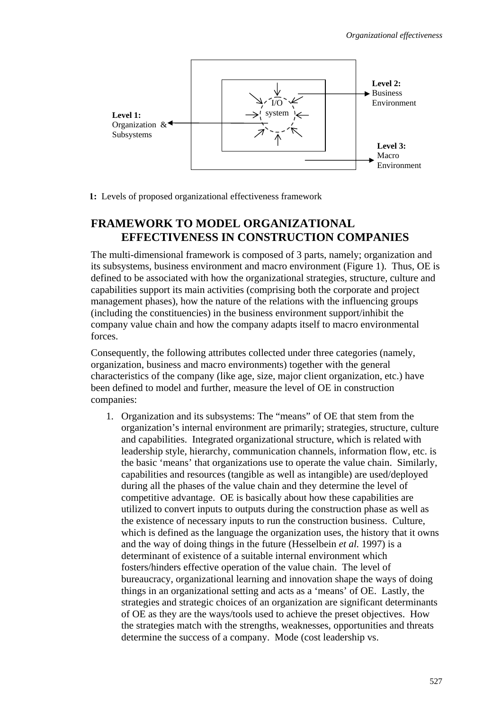

**1:** Levels of proposed organizational effectiveness framework

## **FRAMEWORK TO MODEL ORGANIZATIONAL EFFECTIVENESS IN CONSTRUCTION COMPANIES**

The multi-dimensional framework is composed of 3 parts, namely; organization and its subsystems, business environment and macro environment (Figure 1). Thus, OE is defined to be associated with how the organizational strategies, structure, culture and capabilities support its main activities (comprising both the corporate and project management phases), how the nature of the relations with the influencing groups (including the constituencies) in the business environment support/inhibit the company value chain and how the company adapts itself to macro environmental forces.

Consequently, the following attributes collected under three categories (namely, organization, business and macro environments) together with the general characteristics of the company (like age, size, major client organization, etc.) have been defined to model and further, measure the level of OE in construction companies:

1. Organization and its subsystems: The "means" of OE that stem from the organization's internal environment are primarily; strategies, structure, culture and capabilities. Integrated organizational structure, which is related with leadership style, hierarchy, communication channels, information flow, etc. is the basic 'means' that organizations use to operate the value chain. Similarly, capabilities and resources (tangible as well as intangible) are used/deployed during all the phases of the value chain and they determine the level of competitive advantage. OE is basically about how these capabilities are utilized to convert inputs to outputs during the construction phase as well as the existence of necessary inputs to run the construction business. Culture, which is defined as the language the organization uses, the history that it owns and the way of doing things in the future (Hesselbein *et al.* 1997) is a determinant of existence of a suitable internal environment which fosters/hinders effective operation of the value chain. The level of bureaucracy, organizational learning and innovation shape the ways of doing things in an organizational setting and acts as a 'means' of OE. Lastly, the strategies and strategic choices of an organization are significant determinants of OE as they are the ways/tools used to achieve the preset objectives. How the strategies match with the strengths, weaknesses, opportunities and threats determine the success of a company. Mode (cost leadership vs.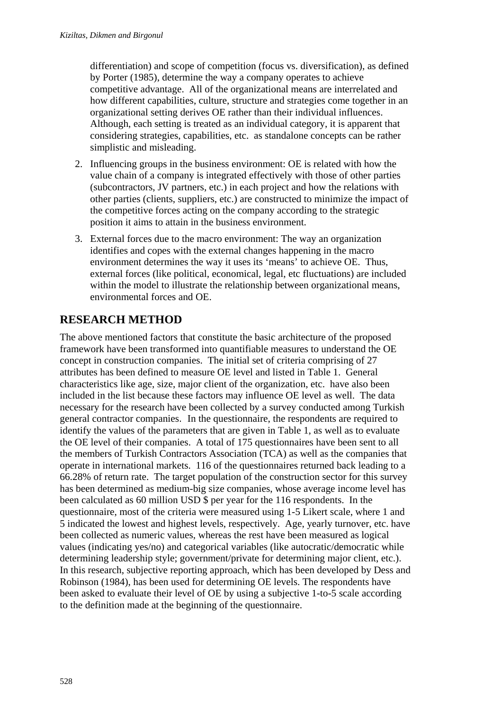differentiation) and scope of competition (focus vs. diversification), as defined by Porter (1985), determine the way a company operates to achieve competitive advantage. All of the organizational means are interrelated and how different capabilities, culture, structure and strategies come together in an organizational setting derives OE rather than their individual influences. Although, each setting is treated as an individual category, it is apparent that considering strategies, capabilities, etc. as standalone concepts can be rather simplistic and misleading.

- 2. Influencing groups in the business environment: OE is related with how the value chain of a company is integrated effectively with those of other parties (subcontractors, JV partners, etc.) in each project and how the relations with other parties (clients, suppliers, etc.) are constructed to minimize the impact of the competitive forces acting on the company according to the strategic position it aims to attain in the business environment.
- 3. External forces due to the macro environment: The way an organization identifies and copes with the external changes happening in the macro environment determines the way it uses its 'means' to achieve OE. Thus, external forces (like political, economical, legal, etc fluctuations) are included within the model to illustrate the relationship between organizational means, environmental forces and OE.

# **RESEARCH METHOD**

The above mentioned factors that constitute the basic architecture of the proposed framework have been transformed into quantifiable measures to understand the OE concept in construction companies. The initial set of criteria comprising of 27 attributes has been defined to measure OE level and listed in Table 1. General characteristics like age, size, major client of the organization, etc. have also been included in the list because these factors may influence OE level as well. The data necessary for the research have been collected by a survey conducted among Turkish general contractor companies. In the questionnaire, the respondents are required to identify the values of the parameters that are given in Table 1, as well as to evaluate the OE level of their companies. A total of 175 questionnaires have been sent to all the members of Turkish Contractors Association (TCA) as well as the companies that operate in international markets. 116 of the questionnaires returned back leading to a 66.28% of return rate. The target population of the construction sector for this survey has been determined as medium-big size companies, whose average income level has been calculated as 60 million USD \$ per year for the 116 respondents. In the questionnaire, most of the criteria were measured using 1-5 Likert scale, where 1 and 5 indicated the lowest and highest levels, respectively. Age, yearly turnover, etc. have been collected as numeric values, whereas the rest have been measured as logical values (indicating yes/no) and categorical variables (like autocratic/democratic while determining leadership style; government/private for determining major client, etc.). In this research, subjective reporting approach, which has been developed by Dess and Robinson (1984), has been used for determining OE levels. The respondents have been asked to evaluate their level of OE by using a subjective 1-to-5 scale according to the definition made at the beginning of the questionnaire.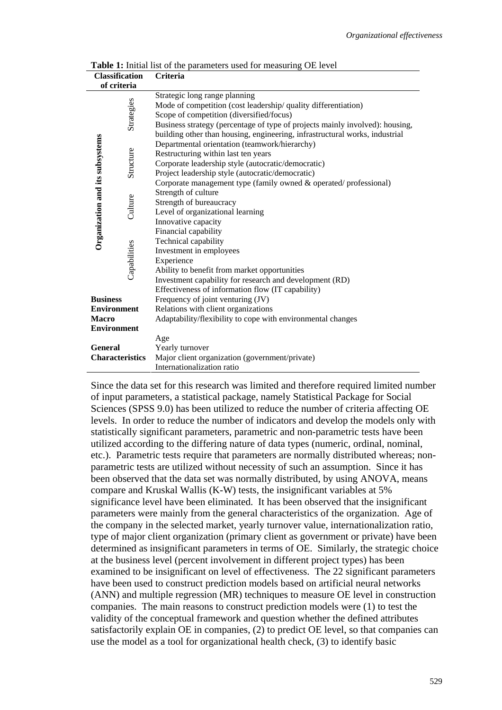| <b>Classification</b>           |              | Criteria                                                                     |
|---------------------------------|--------------|------------------------------------------------------------------------------|
| of criteria                     |              |                                                                              |
|                                 |              | Strategic long range planning                                                |
|                                 | Strategies   | Mode of competition (cost leadership/ quality differentiation)               |
|                                 |              | Scope of competition (diversified/focus)                                     |
|                                 |              | Business strategy (percentage of type of projects mainly involved): housing, |
|                                 |              | building other than housing, engineering, infrastructural works, industrial  |
| Organization and its subsystems |              | Departmental orientation (teamwork/hierarchy)                                |
|                                 |              | Restructuring within last ten years                                          |
|                                 |              | Corporate leadership style (autocratic/democratic)                           |
|                                 | Structure    | Project leadership style (autocratic/democratic)                             |
|                                 |              | Corporate management type (family owned & operated/professional)             |
|                                 | Culture      | Strength of culture                                                          |
|                                 |              | Strength of bureaucracy                                                      |
|                                 |              | Level of organizational learning                                             |
|                                 |              | Innovative capacity                                                          |
|                                 |              | Financial capability                                                         |
|                                 |              | Technical capability                                                         |
|                                 |              | Investment in employees                                                      |
|                                 |              | Experience                                                                   |
|                                 | Capabilities | Ability to benefit from market opportunities                                 |
|                                 |              | Investment capability for research and development (RD)                      |
|                                 |              | Effectiveness of information flow (IT capability)                            |
| <b>Business</b>                 |              | Frequency of joint venturing (JV)                                            |
| <b>Environment</b>              |              | Relations with client organizations                                          |
| <b>Macro</b>                    |              | Adaptability/flexibility to cope with environmental changes                  |
| <b>Environment</b>              |              |                                                                              |
|                                 |              | Age                                                                          |
| <b>General</b>                  |              | Yearly turnover                                                              |
| <b>Characteristics</b>          |              | Major client organization (government/private)                               |
|                                 |              | Internationalization ratio                                                   |

**Table 1:** Initial list of the parameters used for measuring OE level

Since the data set for this research was limited and therefore required limited number of input parameters, a statistical package, namely Statistical Package for Social Sciences (SPSS 9.0) has been utilized to reduce the number of criteria affecting OE levels. In order to reduce the number of indicators and develop the models only with statistically significant parameters, parametric and non-parametric tests have been utilized according to the differing nature of data types (numeric, ordinal, nominal, etc.). Parametric tests require that parameters are normally distributed whereas; nonparametric tests are utilized without necessity of such an assumption. Since it has been observed that the data set was normally distributed, by using ANOVA, means compare and Kruskal Wallis (K-W) tests, the insignificant variables at 5% significance level have been eliminated. It has been observed that the insignificant parameters were mainly from the general characteristics of the organization. Age of the company in the selected market, yearly turnover value, internationalization ratio, type of major client organization (primary client as government or private) have been determined as insignificant parameters in terms of OE. Similarly, the strategic choice at the business level (percent involvement in different project types) has been examined to be insignificant on level of effectiveness. The 22 significant parameters have been used to construct prediction models based on artificial neural networks (ANN) and multiple regression (MR) techniques to measure OE level in construction companies. The main reasons to construct prediction models were (1) to test the validity of the conceptual framework and question whether the defined attributes satisfactorily explain OE in companies, (2) to predict OE level, so that companies can use the model as a tool for organizational health check, (3) to identify basic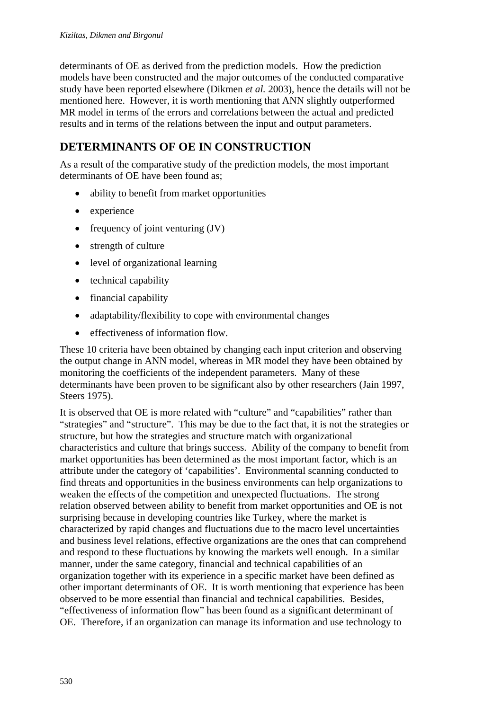determinants of OE as derived from the prediction models. How the prediction models have been constructed and the major outcomes of the conducted comparative study have been reported elsewhere (Dikmen *et al.* 2003), hence the details will not be mentioned here. However, it is worth mentioning that ANN slightly outperformed MR model in terms of the errors and correlations between the actual and predicted results and in terms of the relations between the input and output parameters.

## **DETERMINANTS OF OE IN CONSTRUCTION**

As a result of the comparative study of the prediction models, the most important determinants of OE have been found as;

- ability to benefit from market opportunities
- experience
- frequency of joint venturing (JV)
- strength of culture
- level of organizational learning
- technical capability
- financial capability
- adaptability/flexibility to cope with environmental changes
- effectiveness of information flow.

These 10 criteria have been obtained by changing each input criterion and observing the output change in ANN model, whereas in MR model they have been obtained by monitoring the coefficients of the independent parameters. Many of these determinants have been proven to be significant also by other researchers (Jain 1997, Steers 1975).

It is observed that OE is more related with "culture" and "capabilities" rather than "strategies" and "structure". This may be due to the fact that, it is not the strategies or structure, but how the strategies and structure match with organizational characteristics and culture that brings success. Ability of the company to benefit from market opportunities has been determined as the most important factor, which is an attribute under the category of 'capabilities'. Environmental scanning conducted to find threats and opportunities in the business environments can help organizations to weaken the effects of the competition and unexpected fluctuations. The strong relation observed between ability to benefit from market opportunities and OE is not surprising because in developing countries like Turkey, where the market is characterized by rapid changes and fluctuations due to the macro level uncertainties and business level relations, effective organizations are the ones that can comprehend and respond to these fluctuations by knowing the markets well enough. In a similar manner, under the same category, financial and technical capabilities of an organization together with its experience in a specific market have been defined as other important determinants of OE. It is worth mentioning that experience has been observed to be more essential than financial and technical capabilities. Besides, "effectiveness of information flow" has been found as a significant determinant of OE. Therefore, if an organization can manage its information and use technology to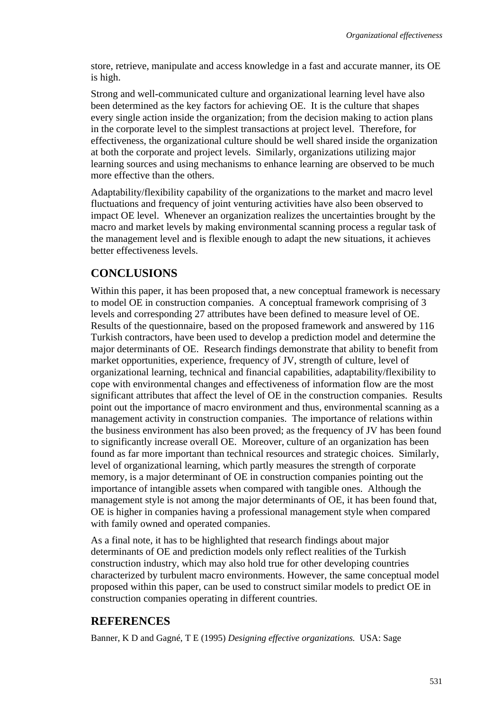store, retrieve, manipulate and access knowledge in a fast and accurate manner, its OE is high.

Strong and well-communicated culture and organizational learning level have also been determined as the key factors for achieving OE. It is the culture that shapes every single action inside the organization; from the decision making to action plans in the corporate level to the simplest transactions at project level. Therefore, for effectiveness, the organizational culture should be well shared inside the organization at both the corporate and project levels. Similarly, organizations utilizing major learning sources and using mechanisms to enhance learning are observed to be much more effective than the others.

Adaptability/flexibility capability of the organizations to the market and macro level fluctuations and frequency of joint venturing activities have also been observed to impact OE level. Whenever an organization realizes the uncertainties brought by the macro and market levels by making environmental scanning process a regular task of the management level and is flexible enough to adapt the new situations, it achieves better effectiveness levels.

## **CONCLUSIONS**

Within this paper, it has been proposed that, a new conceptual framework is necessary to model OE in construction companies. A conceptual framework comprising of 3 levels and corresponding 27 attributes have been defined to measure level of OE. Results of the questionnaire, based on the proposed framework and answered by 116 Turkish contractors, have been used to develop a prediction model and determine the major determinants of OE. Research findings demonstrate that ability to benefit from market opportunities, experience, frequency of JV, strength of culture, level of organizational learning, technical and financial capabilities, adaptability/flexibility to cope with environmental changes and effectiveness of information flow are the most significant attributes that affect the level of OE in the construction companies. Results point out the importance of macro environment and thus, environmental scanning as a management activity in construction companies. The importance of relations within the business environment has also been proved; as the frequency of JV has been found to significantly increase overall OE. Moreover, culture of an organization has been found as far more important than technical resources and strategic choices. Similarly, level of organizational learning, which partly measures the strength of corporate memory, is a major determinant of OE in construction companies pointing out the importance of intangible assets when compared with tangible ones. Although the management style is not among the major determinants of OE, it has been found that, OE is higher in companies having a professional management style when compared with family owned and operated companies.

As a final note, it has to be highlighted that research findings about major determinants of OE and prediction models only reflect realities of the Turkish construction industry, which may also hold true for other developing countries characterized by turbulent macro environments. However, the same conceptual model proposed within this paper, can be used to construct similar models to predict OE in construction companies operating in different countries.

## **REFERENCES**

Banner, K D and Gagné, T E (1995) *Designing effective organizations.* USA: Sage